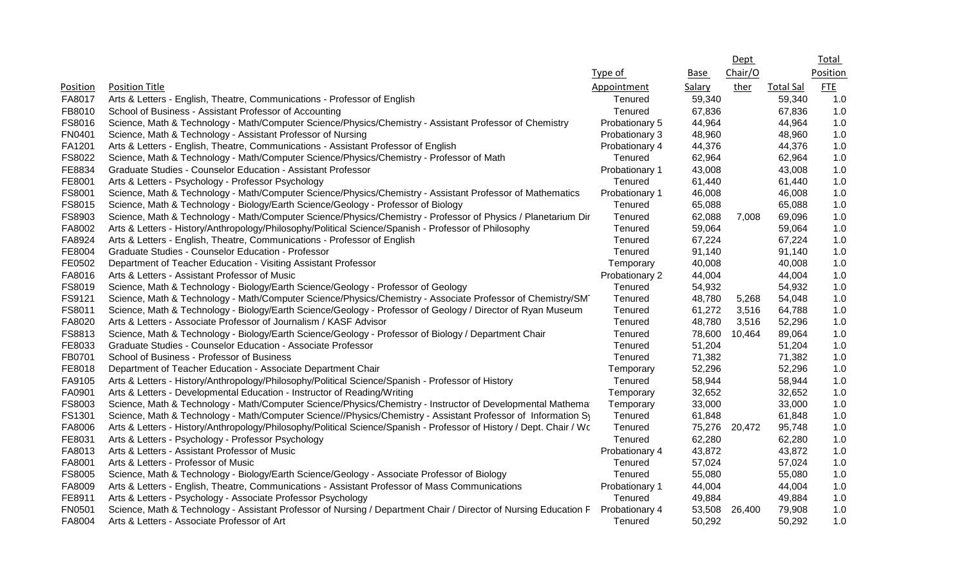|               |                                                                                                                         |                |             | Dept    |                  | <b>Total</b> |
|---------------|-------------------------------------------------------------------------------------------------------------------------|----------------|-------------|---------|------------------|--------------|
|               |                                                                                                                         | Type of        | <b>Base</b> | Chair/O |                  | Position     |
| Position      | <b>Position Title</b>                                                                                                   | Appointment    | Salary      | ther    | <b>Total Sal</b> | ETE          |
| FA8017        | Arts & Letters - English, Theatre, Communications - Professor of English                                                | Tenured        | 59,340      |         | 59,340           | 1.0          |
| FB8010        | School of Business - Assistant Professor of Accounting                                                                  | Tenured        | 67,836      |         | 67,836           | 1.0          |
| FS8016        | Science, Math & Technology - Math/Computer Science/Physics/Chemistry - Assistant Professor of Chemistry                 | Probationary 5 | 44,964      |         | 44,964           | 1.0          |
| <b>FN0401</b> | Science, Math & Technology - Assistant Professor of Nursing                                                             | Probationary 3 | 48,960      |         | 48,960           | 1.0          |
| FA1201        | Arts & Letters - English, Theatre, Communications - Assistant Professor of English                                      | Probationary 4 | 44,376      |         | 44,376           | 1.0          |
| FS8022        | Science, Math & Technology - Math/Computer Science/Physics/Chemistry - Professor of Math                                | Tenured        | 62,964      |         | 62,964           | 1.0          |
| FE8834        | Graduate Studies - Counselor Education - Assistant Professor                                                            | Probationary 1 | 43,008      |         | 43,008           | 1.0          |
| FE8001        | Arts & Letters - Psychology - Professor Psychology                                                                      | Tenured        | 61,440      |         | 61,440           | 1.0          |
| FS8001        | Science, Math & Technology - Math/Computer Science/Physics/Chemistry - Assistant Professor of Mathematics               | Probationary 1 | 46,008      |         | 46,008           | 1.0          |
| FS8015        | Science, Math & Technology - Biology/Earth Science/Geology - Professor of Biology                                       | Tenured        | 65,088      |         | 65,088           | 1.0          |
| FS8903        | Science, Math & Technology - Math/Computer Science/Physics/Chemistry - Professor of Physics / Planetarium Dir           | Tenured        | 62,088      | 7,008   | 69,096           | 1.0          |
| FA8002        | Arts & Letters - History/Anthropology/Philosophy/Political Science/Spanish - Professor of Philosophy                    | Tenured        | 59,064      |         | 59,064           | 1.0          |
| FA8924        | Arts & Letters - English, Theatre, Communications - Professor of English                                                | Tenured        | 67,224      |         | 67,224           | 1.0          |
| FE8004        | Graduate Studies - Counselor Education - Professor                                                                      | Tenured        | 91,140      |         | 91,140           | 1.0          |
| FE0502        | Department of Teacher Education - Visiting Assistant Professor                                                          | Temporary      | 40,008      |         | 40,008           | 1.0          |
| FA8016        | Arts & Letters - Assistant Professor of Music                                                                           | Probationary 2 | 44,004      |         | 44,004           | 1.0          |
| FS8019        | Science, Math & Technology - Biology/Earth Science/Geology - Professor of Geology                                       | Tenured        | 54,932      |         | 54,932           | 1.0          |
| FS9121        | Science, Math & Technology - Math/Computer Science/Physics/Chemistry - Associate Professor of Chemistry/SM <sup>-</sup> | Tenured        | 48,780      | 5,268   | 54,048           | 1.0          |
| FS8011        | Science, Math & Technology - Biology/Earth Science/Geology - Professor of Geology / Director of Ryan Museum             | Tenured        | 61,272      | 3,516   | 64,788           | 1.0          |
| FA8020        | Arts & Letters - Associate Professor of Journalism / KASF Advisor                                                       | Tenured        | 48,780      | 3,516   | 52,296           | 1.0          |
| FS8813        | Science, Math & Technology - Biology/Earth Science/Geology - Professor of Biology / Department Chair                    | Tenured        | 78,600      | 10,464  | 89,064           | 1.0          |
| FE8033        | Graduate Studies - Counselor Education - Associate Professor                                                            | Tenured        | 51,204      |         | 51,204           | 1.0          |
| FB0701        | School of Business - Professor of Business                                                                              | Tenured        | 71,382      |         | 71,382           | 1.0          |
| FE8018        | Department of Teacher Education - Associate Department Chair                                                            | Temporary      | 52,296      |         | 52,296           | 1.0          |
| FA9105        | Arts & Letters - History/Anthropology/Philosophy/Political Science/Spanish - Professor of History                       | Tenured        | 58,944      |         | 58,944           | 1.0          |
| FA0901        | Arts & Letters - Developmental Education - Instructor of Reading/Writing                                                | Temporary      | 32,652      |         | 32,652           | 1.0          |
| FS8003        | Science, Math & Technology - Math/Computer Science/Physics/Chemistry - Instructor of Developmental Mathema              | Temporary      | 33,000      |         | 33,000           | 1.0          |
| FS1301        | Science, Math & Technology - Math/Computer Science//Physics/Chemistry - Assistant Professor of Information Sy           | Tenured        | 61,848      |         | 61,848           | 1.0          |
| FA8006        | Arts & Letters - History/Anthropology/Philosophy/Political Science/Spanish - Professor of History / Dept. Chair / Wc    | Tenured        | 75,276      | 20,472  | 95,748           | 1.0          |
| FE8031        | Arts & Letters - Psychology - Professor Psychology                                                                      | Tenured        | 62,280      |         | 62,280           | 1.0          |
| FA8013        | Arts & Letters - Assistant Professor of Music                                                                           | Probationary 4 | 43,872      |         | 43,872           | 1.0          |
| FA8001        | Arts & Letters - Professor of Music                                                                                     | Tenured        | 57,024      |         | 57,024           | 1.0          |
| FS8005        | Science, Math & Technology - Biology/Earth Science/Geology - Associate Professor of Biology                             | Tenured        | 55,080      |         | 55,080           | 1.0          |
| FA8009        | Arts & Letters - English, Theatre, Communications - Assistant Professor of Mass Communications                          | Probationary 1 | 44,004      |         | 44,004           | 1.0          |
| FE8911        | Arts & Letters - Psychology - Associate Professor Psychology                                                            | Tenured        | 49,884      |         | 49,884           | 1.0          |
| <b>FN0501</b> | Science, Math & Technology - Assistant Professor of Nursing / Department Chair / Director of Nursing Education F        | Probationary 4 | 53,508      | 26,400  | 79,908           | 1.0          |
| FA8004        | Arts & Letters - Associate Professor of Art                                                                             | Tenured        | 50,292      |         | 50,292           | 1.0          |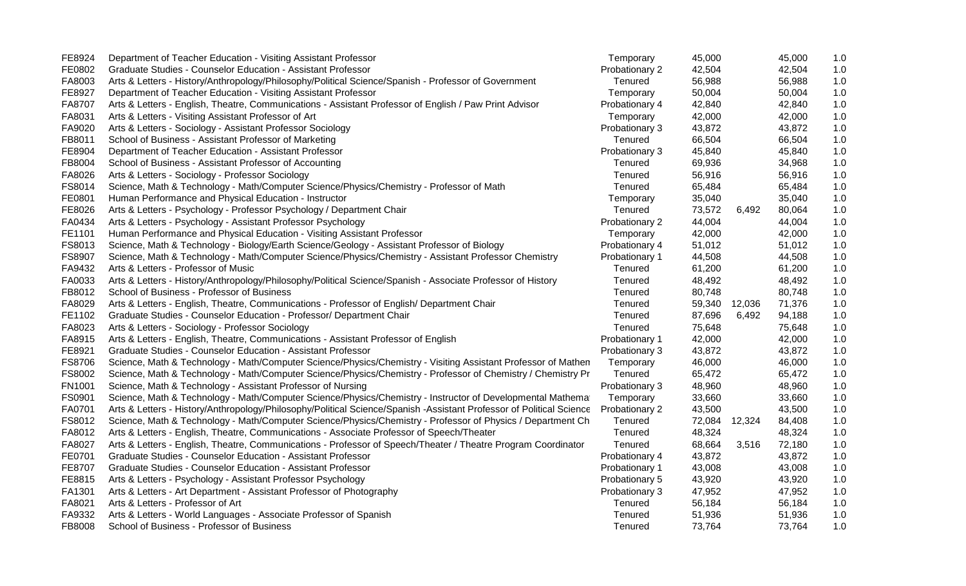| FE8924 | Department of Teacher Education - Visiting Assistant Professor                                                       | Temporary      | 45,000 |        | 45,000 | 1.0 |
|--------|----------------------------------------------------------------------------------------------------------------------|----------------|--------|--------|--------|-----|
| FE0802 | Graduate Studies - Counselor Education - Assistant Professor                                                         | Probationary 2 | 42,504 |        | 42,504 | 1.0 |
| FA8003 | Arts & Letters - History/Anthropology/Philosophy/Political Science/Spanish - Professor of Government                 | Tenured        | 56,988 |        | 56,988 | 1.0 |
| FE8927 | Department of Teacher Education - Visiting Assistant Professor                                                       | Temporary      | 50,004 |        | 50,004 | 1.0 |
| FA8707 | Arts & Letters - English, Theatre, Communications - Assistant Professor of English / Paw Print Advisor               | Probationary 4 | 42,840 |        | 42,840 | 1.0 |
| FA8031 | Arts & Letters - Visiting Assistant Professor of Art                                                                 | Temporary      | 42,000 |        | 42,000 | 1.0 |
| FA9020 | Arts & Letters - Sociology - Assistant Professor Sociology                                                           | Probationary 3 | 43,872 |        | 43,872 | 1.0 |
| FB8011 | School of Business - Assistant Professor of Marketing                                                                | Tenured        | 66,504 |        | 66,504 | 1.0 |
| FE8904 | Department of Teacher Education - Assistant Professor                                                                | Probationary 3 | 45,840 |        | 45,840 | 1.0 |
| FB8004 | School of Business - Assistant Professor of Accounting                                                               | Tenured        | 69,936 |        | 34,968 | 1.0 |
| FA8026 | Arts & Letters - Sociology - Professor Sociology                                                                     | Tenured        | 56,916 |        | 56,916 | 1.0 |
| FS8014 | Science, Math & Technology - Math/Computer Science/Physics/Chemistry - Professor of Math                             | Tenured        | 65,484 |        | 65,484 | 1.0 |
| FE0801 | Human Performance and Physical Education - Instructor                                                                | Temporary      | 35,040 |        | 35,040 | 1.0 |
| FE8026 | Arts & Letters - Psychology - Professor Psychology / Department Chair                                                | Tenured        | 73,572 | 6,492  | 80,064 | 1.0 |
| FA0434 | Arts & Letters - Psychology - Assistant Professor Psychology                                                         | Probationary 2 | 44,004 |        | 44,004 | 1.0 |
| FE1101 | Human Performance and Physical Education - Visiting Assistant Professor                                              | Temporary      | 42,000 |        | 42,000 | 1.0 |
| FS8013 | Science, Math & Technology - Biology/Earth Science/Geology - Assistant Professor of Biology                          | Probationary 4 | 51,012 |        | 51,012 | 1.0 |
| FS8907 | Science, Math & Technology - Math/Computer Science/Physics/Chemistry - Assistant Professor Chemistry                 | Probationary 1 | 44,508 |        | 44,508 | 1.0 |
| FA9432 | Arts & Letters - Professor of Music                                                                                  | Tenured        | 61,200 |        | 61,200 | 1.0 |
| FA0033 | Arts & Letters - History/Anthropology/Philosophy/Political Science/Spanish - Associate Professor of History          | Tenured        | 48,492 |        | 48,492 | 1.0 |
| FB8012 | School of Business - Professor of Business                                                                           | Tenured        | 80,748 |        | 80,748 | 1.0 |
| FA8029 | Arts & Letters - English, Theatre, Communications - Professor of English/ Department Chair                           | Tenured        | 59,340 | 12,036 | 71,376 | 1.0 |
| FE1102 | Graduate Studies - Counselor Education - Professor/ Department Chair                                                 | Tenured        | 87,696 | 6,492  | 94,188 | 1.0 |
| FA8023 | Arts & Letters - Sociology - Professor Sociology                                                                     | Tenured        | 75,648 |        | 75,648 | 1.0 |
| FA8915 | Arts & Letters - English, Theatre, Communications - Assistant Professor of English                                   | Probationary 1 | 42,000 |        | 42,000 | 1.0 |
| FE8921 | Graduate Studies - Counselor Education - Assistant Professor                                                         | Probationary 3 | 43,872 |        | 43,872 | 1.0 |
| FS8706 | Science, Math & Technology - Math/Computer Science/Physics/Chemistry - Visiting Assistant Professor of Mathen        | Temporary      | 46,000 |        | 46,000 | 1.0 |
| FS8002 | Science, Math & Technology - Math/Computer Science/Physics/Chemistry - Professor of Chemistry / Chemistry Pr         | Tenured        | 65,472 |        | 65,472 | 1.0 |
| FN1001 | Science, Math & Technology - Assistant Professor of Nursing                                                          | Probationary 3 | 48,960 |        | 48,960 | 1.0 |
| FS0901 | Science, Math & Technology - Math/Computer Science/Physics/Chemistry - Instructor of Developmental Mathema           | Temporary      | 33,660 |        | 33,660 | 1.0 |
| FA0701 | Arts & Letters - History/Anthropology/Philosophy/Political Science/Spanish -Assistant Professor of Political Science | Probationary 2 | 43,500 |        | 43,500 | 1.0 |
| FS8012 | Science, Math & Technology - Math/Computer Science/Physics/Chemistry - Professor of Physics / Department Ch          | Tenured        | 72,084 | 12,324 | 84,408 | 1.0 |
| FA8012 | Arts & Letters - English, Theatre, Communications - Associate Professor of Speech/Theater                            | Tenured        | 48,324 |        | 48,324 | 1.0 |
| FA8027 | Arts & Letters - English, Theatre, Communications - Professor of Speech/Theater / Theatre Program Coordinator        | Tenured        | 68,664 | 3,516  | 72,180 | 1.0 |
| FE0701 | Graduate Studies - Counselor Education - Assistant Professor                                                         | Probationary 4 | 43,872 |        | 43,872 | 1.0 |
| FE8707 | Graduate Studies - Counselor Education - Assistant Professor                                                         | Probationary 1 | 43,008 |        | 43,008 | 1.0 |
| FE8815 | Arts & Letters - Psychology - Assistant Professor Psychology                                                         | Probationary 5 | 43,920 |        | 43,920 | 1.0 |
| FA1301 | Arts & Letters - Art Department - Assistant Professor of Photography                                                 | Probationary 3 | 47,952 |        | 47,952 | 1.0 |
| FA8021 | Arts & Letters - Professor of Art                                                                                    | Tenured        | 56,184 |        | 56,184 | 1.0 |
| FA9332 | Arts & Letters - World Languages - Associate Professor of Spanish                                                    | Tenured        | 51,936 |        | 51,936 | 1.0 |
| FB8008 | School of Business - Professor of Business                                                                           | Tenured        | 73,764 |        | 73,764 | 1.0 |